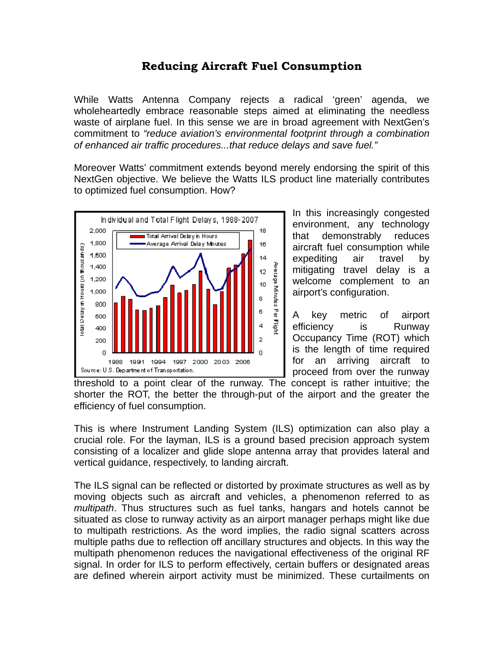## **Reducing Aircraft Fuel Consumption**

While Watts Antenna Company rejects a radical 'green' agenda, we wholeheartedly embrace reasonable steps aimed at eliminating the needless waste of airplane fuel. In this sense we are in broad agreement with NextGen's commitment to *"reduce aviation's environmental footprint through a combination of enhanced air traffic procedures...that reduce delays and save fuel."* 

Moreover Watts' commitment extends beyond merely endorsing the spirit of this NextGen objective. We believe the Watts ILS product line materially contributes to optimized fuel consumption. How?



In this increasingly congested environment, any technology that demonstrably reduces aircraft fuel consumption while expediting air travel by mitigating travel delay is a welcome complement to an airport's configuration.

A key metric of airport efficiency is Runway Occupancy Time (ROT) which is the length of time required for an arriving aircraft to proceed from over the runway

threshold to a point clear of the runway. The concept is rather intuitive; the shorter the ROT, the better the through-put of the airport and the greater the efficiency of fuel consumption.

This is where Instrument Landing System (ILS) optimization can also play a crucial role. For the layman, ILS is a ground based precision approach system consisting of a localizer and glide slope antenna array that provides lateral and vertical guidance, respectively, to landing aircraft.

The ILS signal can be reflected or distorted by proximate structures as well as by moving objects such as aircraft and vehicles, a phenomenon referred to as *multipath*. Thus structures such as fuel tanks, hangars and hotels cannot be situated as close to runway activity as an airport manager perhaps might like due to multipath restrictions. As the word implies, the radio signal scatters across multiple paths due to reflection off ancillary structures and objects. In this way the multipath phenomenon reduces the navigational effectiveness of the original RF signal. In order for ILS to perform effectively, certain buffers or designated areas are defined wherein airport activity must be minimized. These curtailments on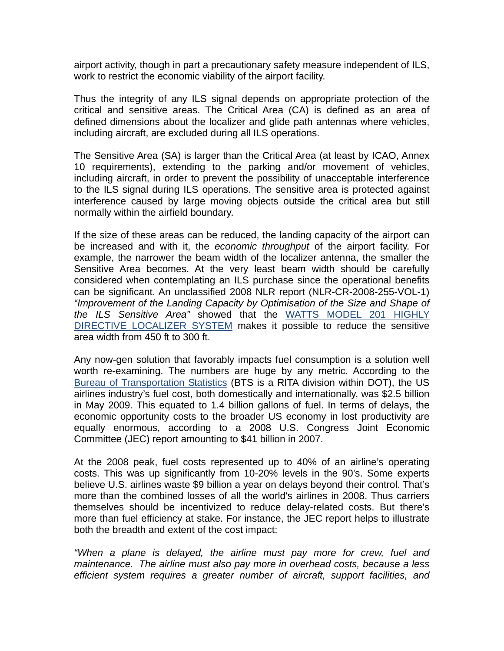airport activity, though in part a precautionary safety measure independent of ILS, work to restrict the economic viability of the airport facility.

Thus the integrity of any ILS signal depends on appropriate protection of the critical and sensitive areas. The Critical Area (CA) is defined as an area of defined dimensions about the localizer and glide path antennas where vehicles, including aircraft, are excluded during all ILS operations.

The Sensitive Area (SA) is larger than the Critical Area (at least by ICAO, Annex 10 requirements), extending to the parking and/or movement of vehicles, including aircraft, in order to prevent the possibility of unacceptable interference to the ILS signal during ILS operations. The sensitive area is protected against interference caused by large moving objects outside the critical area but still normally within the airfield boundary.

If the size of these areas can be reduced, the landing capacity of the airport can be increased and with it, the *economic throughput* of the airport facility. For example, the narrower the beam width of the localizer antenna, the smaller the Sensitive Area becomes. At the very least beam width should be carefully considered when contemplating an ILS purchase since the operational benefits can be significant. An unclassified 2008 NLR report (NLR-CR-2008-255-VOL-1) *"Improvement of the Landing Capacity by Optimisation of the Size and Shape of the ILS Sensitive Area"* showed that the WATTS MODEL 201 HIGHLY DIRECTIVE LOCALIZER SYSTEM makes it possible to reduce the sensitive area width from 450 ft to 300 ft.

Any now-gen solution that favorably impacts fuel consumption is a solution well worth re-examining. The numbers are huge by any metric. According to the Bureau of Transportation Statistics (BTS is a RITA division within DOT), the US airlines industry's fuel cost, both domestically and internationally, was \$2.5 billion in May 2009. This equated to 1.4 billion gallons of fuel. In terms of delays, the economic opportunity costs to the broader US economy in lost productivity are equally enormous, according to a 2008 U.S. Congress Joint Economic Committee (JEC) report amounting to \$41 billion in 2007.

At the 2008 peak, fuel costs represented up to 40% of an airline's operating costs. This was up significantly from 10-20% levels in the 90's. Some experts believe U.S. airlines waste \$9 billion a year on delays beyond their control. That's more than the combined losses of all the world's airlines in 2008. Thus carriers themselves should be incentivized to reduce delay-related costs. But there's more than fuel efficiency at stake. For instance, the JEC report helps to illustrate both the breadth and extent of the cost impact:

*"When a plane is delayed, the airline must pay more for crew, fuel and maintenance. The airline must also pay more in overhead costs, because a less efficient system requires a greater number of aircraft, support facilities, and*